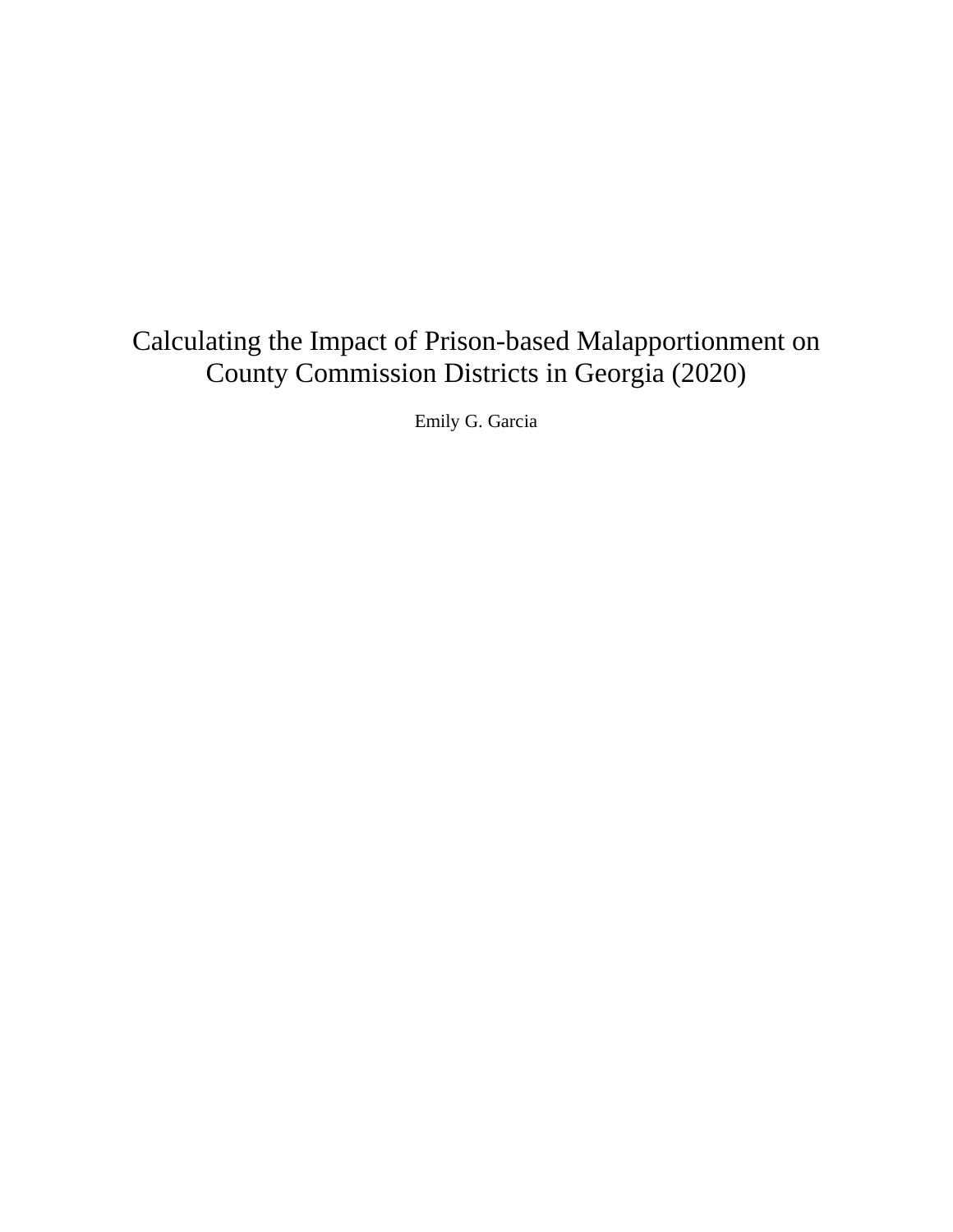# Calculating the Impact of Prison-based Malapportionment on County Commission Districts in Georgia (2020)

Emily G. Garcia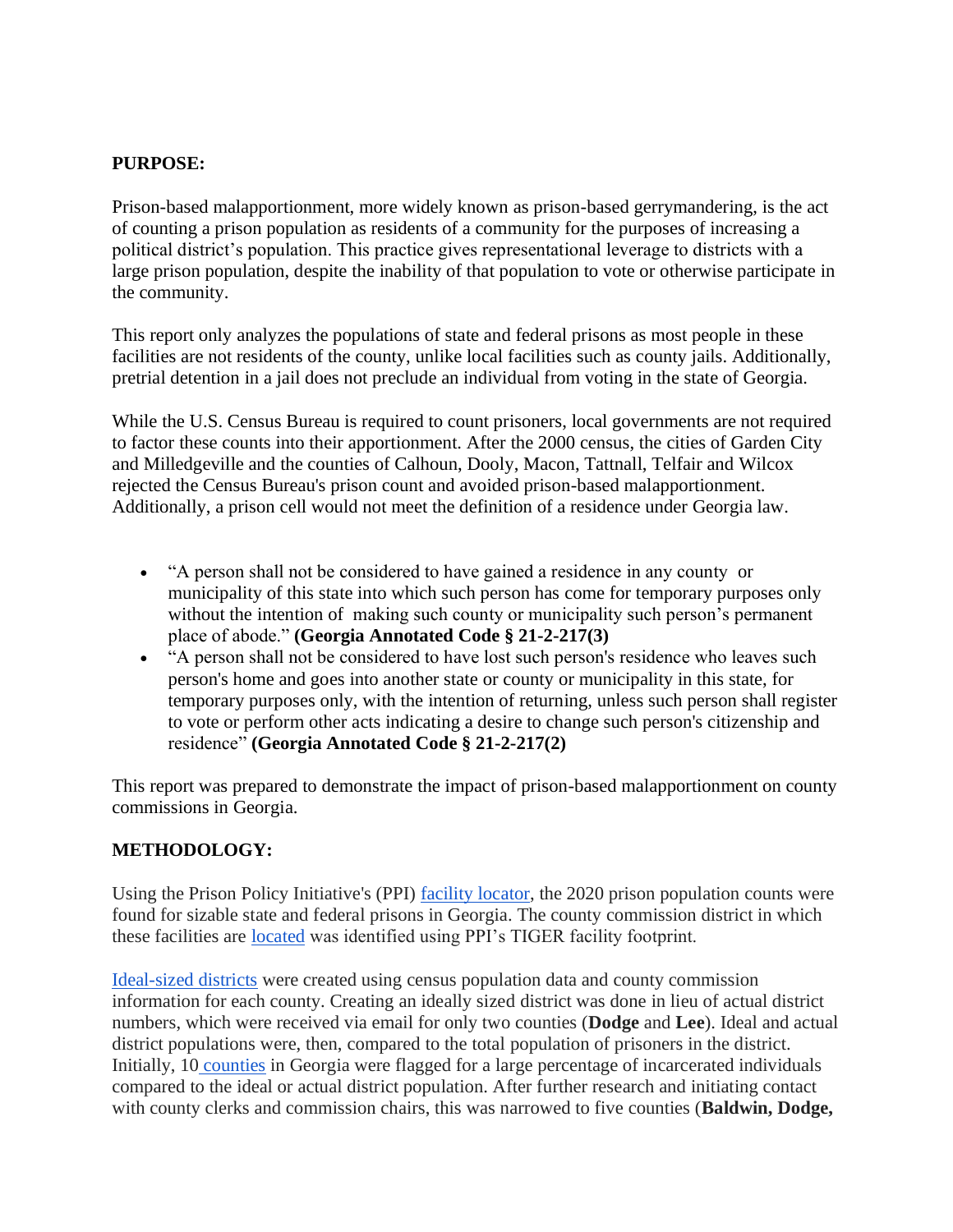#### **PURPOSE:**

Prison-based malapportionment, more widely known as prison-based gerrymandering, is the act of counting a prison population as residents of a community for the purposes of increasing a political district's population. This practice gives representational leverage to districts with a large prison population, despite the inability of that population to vote or otherwise participate in the community.

This report only analyzes the populations of state and federal prisons as most people in these facilities are not residents of the county, unlike local facilities such as county jails. Additionally, pretrial detention in a jail does not preclude an individual from voting in the state of Georgia.

While the U.S. Census Bureau is required to count prisoners, local governments are not required to factor these counts into their apportionment. After the 2000 census, the cities of Garden City and Milledgeville and the counties of Calhoun, Dooly, Macon, Tattnall, Telfair and Wilcox rejected the Census Bureau's prison count and avoided prison-based malapportionment. Additionally, a prison cell would not meet the definition of a residence under Georgia law.

- "A person shall not be considered to have gained a residence in any county or municipality of this state into which such person has come for temporary purposes only without the intention of making such county or municipality such person's permanent place of abode." **(Georgia Annotated Code § 21-2-217(3)**
- "A person shall not be considered to have lost such person's residence who leaves such person's home and goes into another state or county or municipality in this state, for temporary purposes only, with the intention of returning, unless such person shall register to vote or perform other acts indicating a desire to change such person's citizenship and residence" **(Georgia Annotated Code § 21-2-217(2)**

This report was prepared to demonstrate the impact of prison-based malapportionment on county commissions in Georgia.

## **METHODOLOGY:**

Using the Prison Policy Initiative's (PPI) <u>facility locator</u>, the 2020 prison population counts were found for sizable state and federal prisons in Georgia. The county commission district in which these facilities are [located](https://docs.google.com/spreadsheets/d/1uoZbquPiJp5U_o3Tjv1LTvaMPoUULr64eOZZIUmiPtQ/edit?usp=sharing) was identified using PPI's TIGER facility footprint.

[Ideal-sized districts](https://docs.google.com/spreadsheets/d/1eSw05Mg16rNajHLt8FWp2vqzX7Ct1M7rCAAmv28N2y4/edit?usp=sharing) were created using census population data and county commission information for each county. Creating an ideally sized district was done in lieu of actual district numbers, which were received via email for only two counties (**Dodge** and **Lee**). Ideal and actual district populations were, then, compared to the total population of prisoners in the district. Initially, 10 [counties](https://docs.google.com/spreadsheets/d/1uoZbquPiJp5U_o3Tjv1LTvaMPoUULr64eOZZIUmiPtQ/edit?usp=sharing) in Georgia were flagged for a large percentage of incarcerated individuals compared to the ideal or actual district population. After further research and initiating contact with county clerks and commission chairs, this was narrowed to five counties (**Baldwin, Dodge,**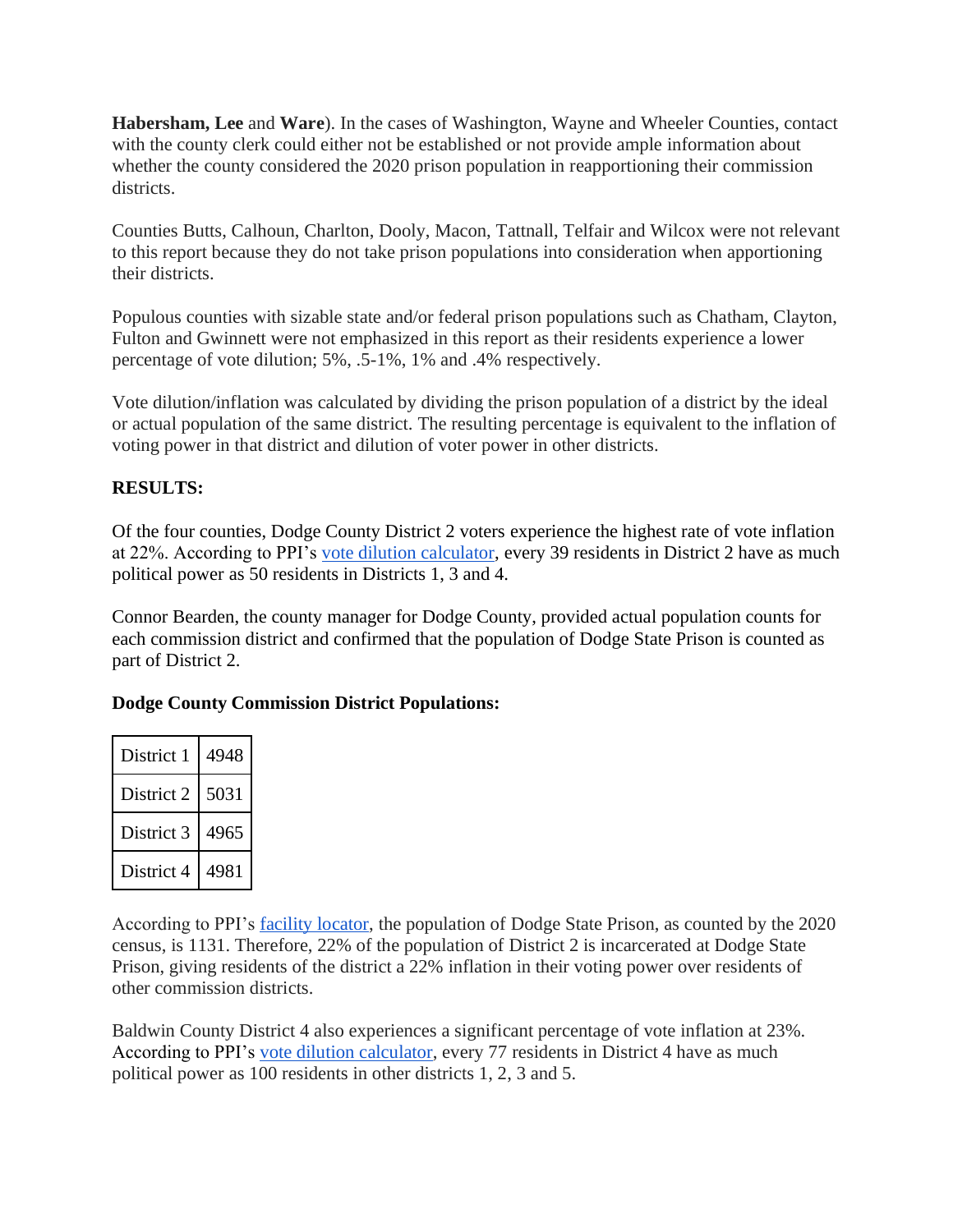**Habersham, Lee** and **Ware**). In the cases of Washington, Wayne and Wheeler Counties, contact with the county clerk could either not be established or not provide ample information about whether the county considered the 2020 prison population in reapportioning their commission districts.

Counties Butts, Calhoun, Charlton, Dooly, Macon, Tattnall, Telfair and Wilcox were not relevant to this report because they do not take prison populations into consideration when apportioning their districts.

Populous counties with sizable state and/or federal prison populations such as Chatham, Clayton, Fulton and Gwinnett were not emphasized in this report as their residents experience a lower percentage of vote dilution; 5%, .5-1%, 1% and .4% respectively.

Vote dilution/inflation was calculated by dividing the prison population of a district by the ideal or actual population of the same district. The resulting percentage is equivalent to the inflation of voting power in that district and dilution of voter power in other districts.

## **RESULTS:**

Of the four counties, Dodge County District 2 voters experience the highest rate of vote inflation at 22%. According to PPI's [vote dilution calculator,](https://www.prisonersofthecensus.org/toolkit/dilution.php) every 39 residents in District 2 have as much political power as 50 residents in Districts 1, 3 and 4.

Connor Bearden, the county manager for Dodge County, provided actual population counts for each commission district and confirmed that the population of Dodge State Prison is counted as part of District 2.

## **Dodge County Commission District Populations:**

| District 1 | 4948 |
|------------|------|
| District 2 | 5031 |
| District 3 | 4965 |
| District 4 | 4981 |

According to PPI's [facility locator,](https://www.prisonersofthecensus.org/locator2020/states/starts-with-georgia/) the population of Dodge State Prison, as counted by the 2020 census, is 1131. Therefore, 22% of the population of District 2 is incarcerated at Dodge State Prison, giving residents of the district a 22% inflation in their voting power over residents of other commission districts.

Baldwin County District 4 also experiences a significant percentage of vote inflation at 23%. According to PPI's [vote dilution calculator,](https://www.prisonersofthecensus.org/toolkit/dilution.php) every 77 residents in District 4 have as much political power as 100 residents in other districts 1, 2, 3 and 5.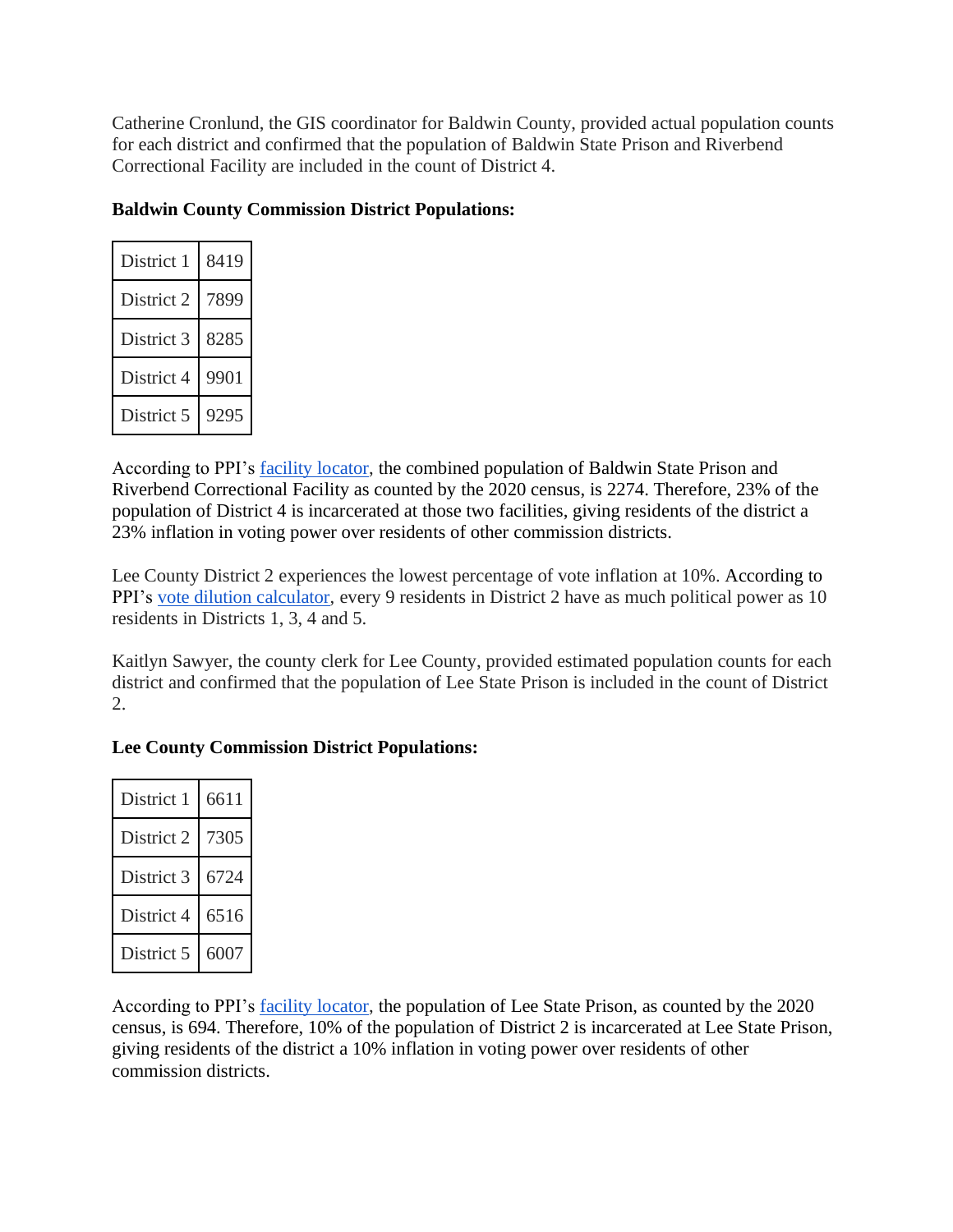Catherine Cronlund, the GIS coordinator for Baldwin County, provided actual population counts for each district and confirmed that the population of Baldwin State Prison and Riverbend Correctional Facility are included in the count of District 4.

|  |  |  | <b>Baldwin County Commission District Populations:</b> |
|--|--|--|--------------------------------------------------------|
|--|--|--|--------------------------------------------------------|

| District 1 | 8419 |
|------------|------|
| District 2 | 7899 |
| District 3 | 8285 |
| District 4 | 9901 |
| District 5 | 9295 |

According to PPI's [facility locator,](https://www.prisonersofthecensus.org/locator2020/states/starts-with-georgia/) the combined population of Baldwin State Prison and Riverbend Correctional Facility as counted by the 2020 census, is 2274. Therefore, 23% of the population of District 4 is incarcerated at those two facilities, giving residents of the district a 23% inflation in voting power over residents of other commission districts.

Lee County District 2 experiences the lowest percentage of vote inflation at 10%. According to PPI's [vote dilution calculator,](https://www.prisonersofthecensus.org/toolkit/dilution.php) every 9 residents in District 2 have as much political power as 10 residents in Districts 1, 3, 4 and 5.

Kaitlyn Sawyer, the county clerk for Lee County, provided estimated population counts for each district and confirmed that the population of Lee State Prison is included in the count of District 2.

## **Lee County Commission District Populations:**

| District 1 | 6611 |
|------------|------|
| District 2 | 7305 |
| District 3 | 6724 |
| District 4 | 6516 |
| District 5 | 6007 |

According to PPI's [facility locator,](https://www.prisonersofthecensus.org/locator2020/states/starts-with-georgia/) the population of Lee State Prison, as counted by the 2020 census, is 694. Therefore, 10% of the population of District 2 is incarcerated at Lee State Prison, giving residents of the district a 10% inflation in voting power over residents of other commission districts.